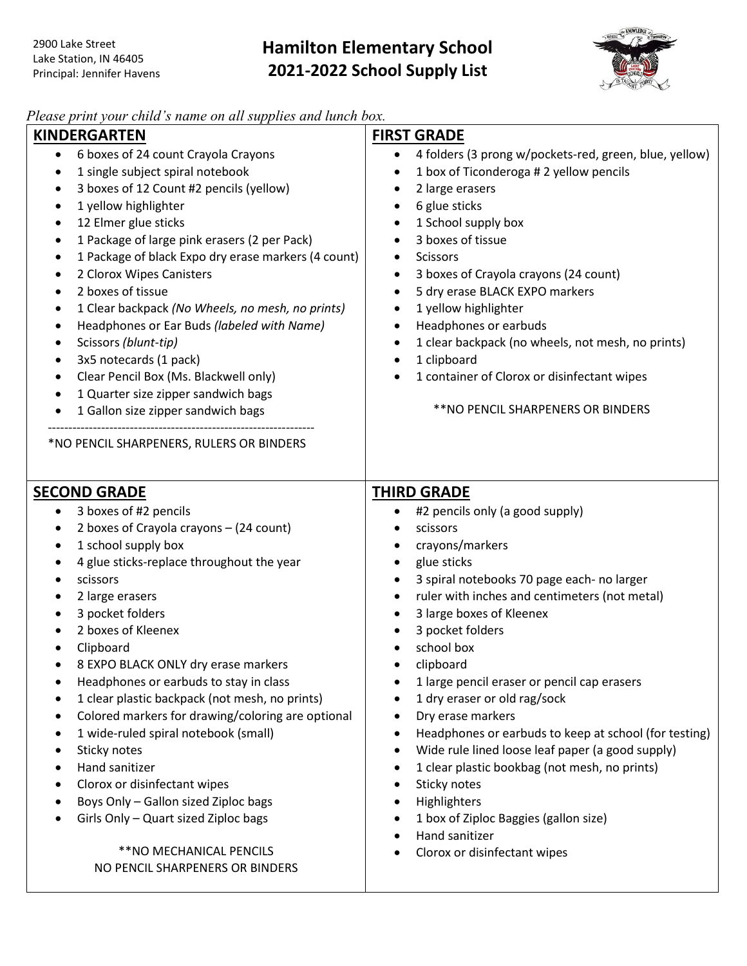

## *Please print your child's name on all supplies and lunch box.*

| I leuse print your chuu s hume on uit supplies und tunch box.<br><b>KINDERGARTEN</b><br>6 boxes of 24 count Crayola Crayons<br>$\bullet$<br>1 single subject spiral notebook<br>$\bullet$<br>3 boxes of 12 Count #2 pencils (yellow)<br>$\bullet$<br>1 yellow highlighter<br>$\bullet$<br>12 Elmer glue sticks<br>$\bullet$<br>1 Package of large pink erasers (2 per Pack)<br>$\bullet$<br>1 Package of black Expo dry erase markers (4 count)<br>$\bullet$<br>2 Clorox Wipes Canisters<br>٠<br>2 boxes of tissue<br>$\bullet$<br>1 Clear backpack (No Wheels, no mesh, no prints)<br>٠<br>Headphones or Ear Buds (labeled with Name)<br>٠<br>Scissors (blunt-tip)<br>٠<br>3x5 notecards (1 pack)<br>Clear Pencil Box (Ms. Blackwell only)<br>٠ | <b>FIRST GRADE</b><br>4 folders (3 prong w/pockets-red, green, blue, yellow)<br>$\bullet$<br>1 box of Ticonderoga # 2 yellow pencils<br>$\bullet$<br>2 large erasers<br>$\bullet$<br>6 glue sticks<br>$\bullet$<br>1 School supply box<br>3 boxes of tissue<br><b>Scissors</b><br>$\bullet$<br>3 boxes of Crayola crayons (24 count)<br>$\bullet$<br>5 dry erase BLACK EXPO markers<br>$\bullet$<br>1 yellow highlighter<br>$\bullet$<br>Headphones or earbuds<br>1 clear backpack (no wheels, not mesh, no prints)<br>$\bullet$<br>1 clipboard<br>$\bullet$<br>1 container of Clorox or disinfectant wipes                                                                                                  |
|--------------------------------------------------------------------------------------------------------------------------------------------------------------------------------------------------------------------------------------------------------------------------------------------------------------------------------------------------------------------------------------------------------------------------------------------------------------------------------------------------------------------------------------------------------------------------------------------------------------------------------------------------------------------------------------------------------------------------------------------------|--------------------------------------------------------------------------------------------------------------------------------------------------------------------------------------------------------------------------------------------------------------------------------------------------------------------------------------------------------------------------------------------------------------------------------------------------------------------------------------------------------------------------------------------------------------------------------------------------------------------------------------------------------------------------------------------------------------|
| 1 Quarter size zipper sandwich bags                                                                                                                                                                                                                                                                                                                                                                                                                                                                                                                                                                                                                                                                                                              |                                                                                                                                                                                                                                                                                                                                                                                                                                                                                                                                                                                                                                                                                                              |
| $\bullet$<br>1 Gallon size zipper sandwich bags                                                                                                                                                                                                                                                                                                                                                                                                                                                                                                                                                                                                                                                                                                  | ** NO PENCIL SHARPENERS OR BINDERS                                                                                                                                                                                                                                                                                                                                                                                                                                                                                                                                                                                                                                                                           |
| *NO PENCIL SHARPENERS, RULERS OR BINDERS<br><b>SECOND GRADE</b>                                                                                                                                                                                                                                                                                                                                                                                                                                                                                                                                                                                                                                                                                  | <b>THIRD GRADE</b>                                                                                                                                                                                                                                                                                                                                                                                                                                                                                                                                                                                                                                                                                           |
| 3 boxes of #2 pencils<br>$\bullet$                                                                                                                                                                                                                                                                                                                                                                                                                                                                                                                                                                                                                                                                                                               | #2 pencils only (a good supply)                                                                                                                                                                                                                                                                                                                                                                                                                                                                                                                                                                                                                                                                              |
| 2 boxes of Crayola crayons - (24 count)<br>1 school supply box<br>٠<br>4 glue sticks-replace throughout the year<br>scissors<br>2 large erasers<br>3 pocket folders<br>2 boxes of Kleenex<br>Clipboard<br>8 EXPO BLACK ONLY dry erase markers<br>Headphones or earbuds to stay in class<br>1 clear plastic backpack (not mesh, no prints)<br>Colored markers for drawing/coloring are optional<br>1 wide-ruled spiral notebook (small)<br>Sticky notes<br>$\bullet$<br>Hand sanitizer<br>Clorox or disinfectant wipes<br>Boys Only - Gallon sized Ziploc bags<br>Girls Only - Quart sized Ziploc bags<br>** NO MECHANICAL PENCILS                                                                                                                | scissors<br>crayons/markers<br>glue sticks<br>$\bullet$<br>3 spiral notebooks 70 page each- no larger<br>ruler with inches and centimeters (not metal)<br>3 large boxes of Kleenex<br>3 pocket folders<br>school box<br>clipboard<br>1 large pencil eraser or pencil cap erasers<br>1 dry eraser or old rag/sock<br>Dry erase markers<br>$\bullet$<br>Headphones or earbuds to keep at school (for testing)<br>$\bullet$<br>Wide rule lined loose leaf paper (a good supply)<br>$\bullet$<br>1 clear plastic bookbag (not mesh, no prints)<br>$\bullet$<br>Sticky notes<br>$\bullet$<br>Highlighters<br>$\bullet$<br>1 box of Ziploc Baggies (gallon size)<br>Hand sanitizer<br>Clorox or disinfectant wipes |
| NO PENCIL SHARPENERS OR BINDERS                                                                                                                                                                                                                                                                                                                                                                                                                                                                                                                                                                                                                                                                                                                  |                                                                                                                                                                                                                                                                                                                                                                                                                                                                                                                                                                                                                                                                                                              |